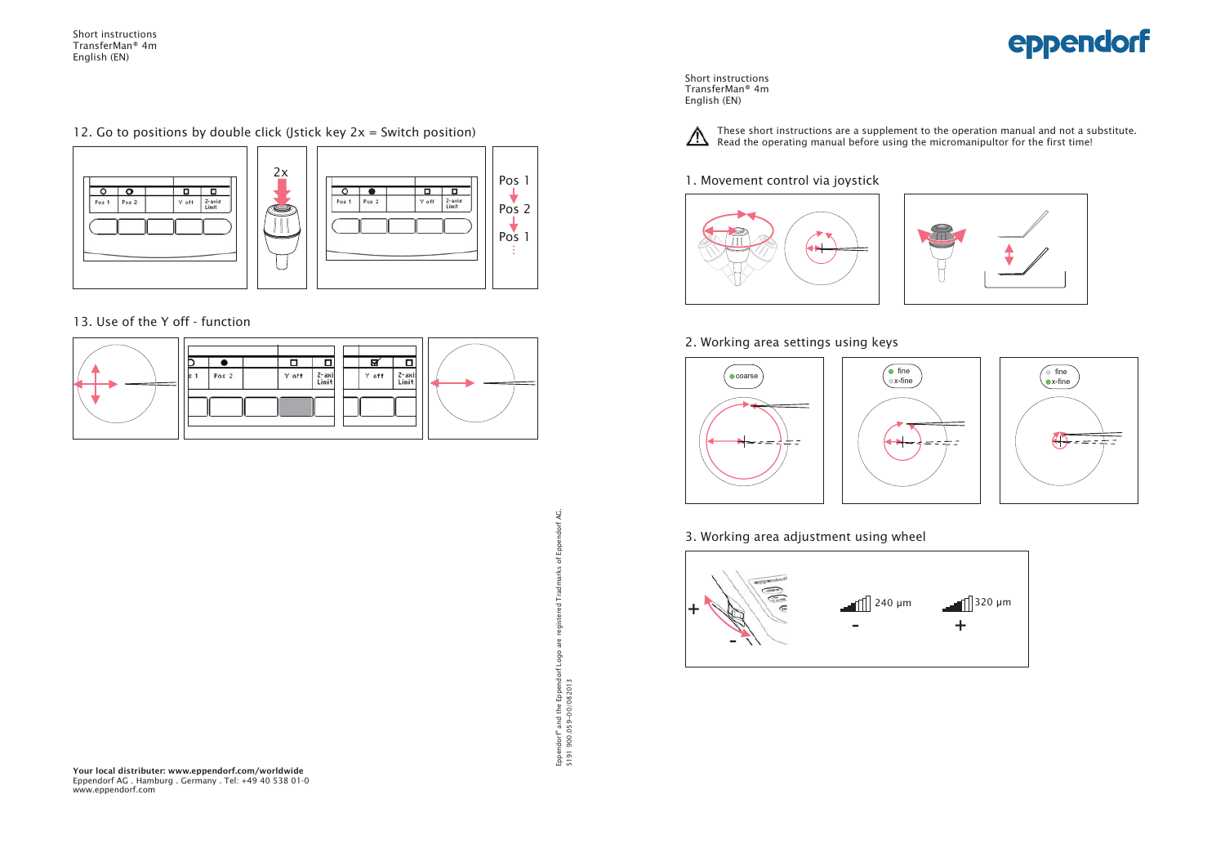Short instructions TransferMan® 4mEnglish (EN)

12. Go to positions by double click (Jstick key  $2x =$  Switch position)



13. Use of the Y off - function



Q. Eppendorf" and the Eppendorf Logo are registered Tradmarks of Eppendorf AG.  $\,$ of Logo Eppendorf® and the Eppendo<br>5191 900.059-00/082013 5191 900.059-00/082013

Short instructions TransferMan® 4mEnglish (EN)



These short instructions are a supplement to the operation manual and not a substitute. Read the operating manual before using the micromanipultor for the first time!

#### 1. Movement control via joystick





### 2. Working area settings using keys



3. Working area adjustment using wheel





**Your local distributer: www.eppendorf.com/worldwide** Eppendorf AG . Hamburg . Germany . Tel: +49 40 538 01-0 www.eppendorf.com